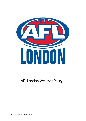

# AFL London Weather Policy

AFL London Weather Policy (2018)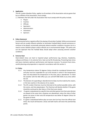## **1. Application**

The AFL London Weather Policy, applies to all members of the Association and any game that has an affiliate of the Association, must comply.

1.1 Members that fall under the Association that must comply with this policy include;

- Players
- Coaches
- Officials
- Spectators
- Administrators
- Volunteers
- Sponsors

#### **2. Policy Statement**

Environmental factors regularly affect the playing of Australian Football. While environmental factors will not usually influence whether an Australian Football Match should commence or continue to be played, occasionally extremely adverse weather conditions may give rise to a need to assess whether players and/or officials are in environmental danger. This policy sets out the approach that the Football Body should adopt when assessing extreme weather conditions.

#### **3. Extreme Heat**

Heat-related stress can lead to impaired player performance (eg; dizziness, headaches, collapse and illness). In its extreme form, heat can be life threatening. Preventing heat stress and injury maintains optimum performance and improves recovery. To prevent heat stress, careful planning and preparation is required in accordance with this section 3.

## **3.1 Policy**

- 3.1.1 Any temperature above 35 degrees Celsius should be considered Extreme Heat and play must be suspended for up to 60 minutes in which if the temperature does not drop below this temperature in this time, play is abandoned. To check the weather with the Met office you can call 0370 900 0100 at any time within the UK.
- 3.1.2 The decision of suspending or abandonment of play must be made by the umpire, or the two coaches in the absence of an umpire.
- 3.1.3 The AFL London Chairman must be informed at the earliest possible notice, with the scores, and time played given. The Chairman will decide whether if the game should be continued at alter date or if the final score stands.
- 3.1.4 If a game is abandoned at a specific time and other games from that same division are played at the same time, all games are abandoned, unless the clubs of other games can prove in their area the temperature was below 35 degree Celsius for the game to finish.
- 3.1.5 If a game is abandoned before play can even start (an hour from the official start time), the result will become a draw and both teams will share the premiership points.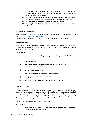- 3.1.6 If the temperature is between 28 degrees Celsius and 34.9 degrees Celsius a Heat Policy may take into effect and the following provisions are allowed in the agreement between the two teams;
	- 3.1.6.1 The two clubs may have an unlimited number of water carriers delivering water onto the field if they wear uniform that allows them to stand out.
	- 3.1.6.2 The length of the quarters may be shortened by five minutes.
	- 3.1.6.3 The length of the Quarter breaks may be extended in agreeance with the official umpire.

#### **3.2 Preliminary Assessment**

The Football Body should assess the heat stress risk by reviewing information provided by the Met office [\(https://www.metoffice.gov.uk/\)](https://www.metoffice.gov.uk/).

Heat stress management strategies should also be applied at all training sessions.

#### **3.3 Onus on Player**

Players have a responsibility to ensure that the impact of environmental factors such as extreme heat is not exacerbated by their own conduct. Accordingly, the following general guidelines should be followed.

Players should:

- (i) ensure adequate fluid intake prior to game and during game (500-700mls per quarter);
- (ii) monitor hydration;
- (iii) notify medical and coaching staffs when effected by heat or when performance is noticeably effected;
- (iv) use water and electrolyte drinks;
- (v) use pre-game, game and post-game cooling strategies;
- (vi) do not play in the heat with an illness; and
- (vii) apply sun protection factor 30+ sunscreen in sunny conditions.

#### **3.4 Club Responsibility**

All Clubs competing in a competition administered by the Association should monitor environmental factors such as extreme heat both in Matches and at any Australian Football training session administered by the Club. The Club should assess the heat stress risk by reviewing information provided by the Met Office. Heat stress management strategies should also be applied at all training sessions administered by the Club.

The following general guidelines should be followed:

- (a) Clubs should:
	- (i) use cooling aids if available ice vests, spray bottles, sponges, fans (in rooms and on interchange bench) and shade;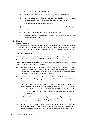- (ii) choose heat permeable jumpers and socks;
- (iii) report incidents of heat stress illness in all players to the Football Body;
- (iv) use a Club official to be delegated the primary responsibility of monitoring and manage players for heat stress issues as they arise during a Match;
- (v) provide adequate fluids in appropriate bottles;
- (vi) ensure trainers are fit enough to access as many players as possible during the game;
- (vii) coordinate training times outside extreme conditions; and
- (viii) provide facilities for player cooling shade, air conditioning, sprays and fans whether training or playing.

#### **4. Lightning**

#### **4.1 BS EN/IEC 62305**

The Association should comply with BS EN/IEC 62305 entitled *Lightning Protection Standard*. While the Lightning Standard will not necessarily prevent damage or personal injury due to lightning, it will reduce the probability of such damage or injury occurring.

#### **4.2 30/30 Safety Guideline**

In the absence of specific information from weather radar, a lightning location system, or a specialised warning device then the 30/30 Safety Guideline should be used.

Per the 30/30 Safety Guideline, when lightning is a possible or actual threat to an AFL London match the following procedures are applicable:

- (a) The observation of approaching storm clouds, the first flash of lightning or clap of thunder, no matter how far away should heighten lightning awareness. The level of risk depends on one's location (direction and distance) relative to the storm cell and the direction in which the storm system is traveling.
- (b) A simple method of determining the distance to the storm cell is to measure the time elapsed from when the lightning flash is observed and when the associated clap of thunder is heard.
- (c) Light travels faster than sound. If the light from the flash reaches the observer instantaneously, and knowing that sound takes approximately three (3) seconds to travel one (1) kilometre, the distance can be determined by using the following rule:

Distance (in Km) = Time from observing the flash to hearing thunder (in 3 seconds)

- (d) It is important to remember that lightning may be obscured by clouds so it must be assumed that when thunder is heard, lightning is in the vicinity. In such cases, careful judgment must be used to determine whether a threat exists
- (e) The first part of the "30/30" rule is a guide to the postponement or suspension of activities. Most experts agree that the accepted "safe" distance from lightning is greater than 10km. This means that as the time interval between observing the flash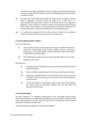and hearing the thunder approaches 30 seconds, all those in exposed areas should be seeking or already inside safe shelters. A storm cell with lightning activity within 10km constitutes a threat.

- (f) The second part of the 30/30 rule provides the criteria for the resumption of activity which is applicable to decisions made with BOM access as well. Here, it is recommended that people wait a minimum of 30 minutes after the last sighting of lightning or sound of thunder. This figure is based on the observation that the typical storm moves at about 40km/h. Thus, waiting 30 minutes allows the thunderstorm to be about 20km away, minimising the likelihood of a nearby lightning strike.
- (g) It is important to emphasise that blue skies and lack of rainfall are not adequate reasons to breach the 30 minute minimum return-to-activity rule.

#### **4.3 General Lightning Safety Guideline**

- (a) Prior to Match Day
	- (i) where weather forecasts provide important warning of possible thunderstorm activity the Football Body should monitor weather forecasts commencing Tuesday prior to scheduled Matches using the Met Office website. Note should be taken off any warnings posted;
	- (ii) The Football Body should continue to monitor the Met Office site in the days leading up to the match.
- (b) Match Day
	- (i) Increased awareness of lightning risk should continue the Match day until the activity has finished.
	- (ii) Teams and officials should proceed to the venue unless otherwise directed.
	- (iii) If lightning is predicted within no less than 10km of the match venue at the scheduled starting time the game commencement time may be delayed by up to 60 minutes.
	- (iv) This decision to delay or suspend play as well as resume play will be made by the Umpire based on information obtained from the Met office and discussions with the Clubs.

#### **4.4 Club Responsibility**

All Clubs competing in a competition administered by the Association should monitor environmental factors such as lightning both in Matches and at any Australian Football training session administered by the Club. The Club should assess the lightning risk by reviewing information provided by the Met office.

(a) The following general guidelines should also be followed: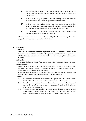- (i) If a lightning threat emerges, the nominated Club Official must contact all relevant coaching, rehabilitation and training staff and provide updates on a regular basis.
- (ii) A decision to delay, suspend or resume training should be made in consultation with relevant coaching and administration staff.
- (iii) If players are training when the lightning threat becomes real, then they should leave the training venue immediately and take shelter inside a building or metal framed car. They should not shelter under or near trees.
- (iv) Once the storm's path has been reassessed, there must be a minimum of 30 minutes elapsed before returning to training.

When there is no access to the Met office, the "30/30" rule serves as a guide for the suspension and subsequent resumption of activities.

#### **5. Extreme Cold**

#### **5.1 Exposure**

Cold exposure can be uncomfortable, impair performance and even pose a serious threat to injury and life. Conditions created by cold exposure include frostbite and hypothermia. Wind chill can make the temperature feel much lower than they may be recorded by the Met Office.

#### **5.2 Frostbite**

Frostbite is the freezing of superficial tissues, usually of the face, ears, fingers, and toes.

#### **5.3 Hyperthermia**

Hypothermia, a significant drop in body temperature, occurs with rapid cooling, exhaustion and energy depletion. The resulting failure to the temperature-regulating mechanisms constitutes a medical emergency.

Hypothermia frequently occurs at temperatures above freezing. A wet and windy 0-10 degrees' Celsius exposure may be as serious as a sub-zero exposure.

## **5.4 Action**

- 5.4.1 On Match day if the temperature is below 10 Degrees Celsius, the umpire and the heads of both clubs can decide if they wish to proceed with the game.
- 5.4.2 If the Temperature is below 0 degrees Celsiusthe game should be abandoned and rescheduled for a future date, or a draw result given. This will be decided by the chairman of the Association.
- 5.4.3 The clubs have the responsibility of providing ways and means for players to keep warm during the match if extreme cold is occurring. The clubs also have the responsibility to look after the umpires and officials in these conditions.